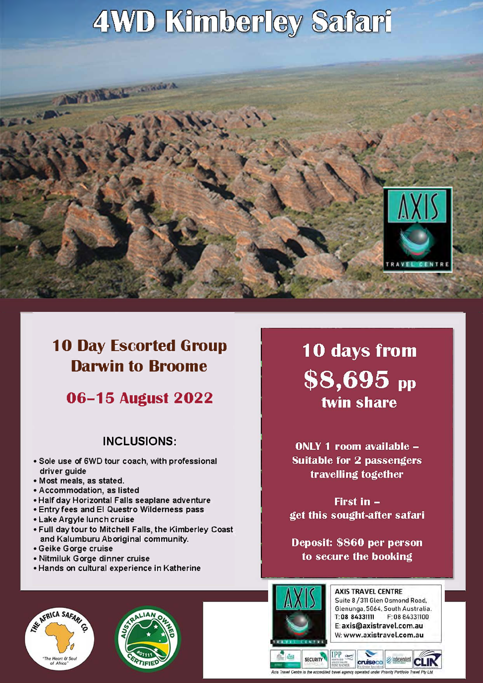# 4WD Kimberley Safari



## **10 Day Escorted Group Darwin to Broome**

ANTIMERE CROSS

 $\sim$ 

## **06-15 August 2022**

### **INCLUSIONS:**

- **• Sole use of 6WD tour coach, with professional driver guide**
- **• Most meals, as stated.**
- **• Accommodation, as listed**
- **• Half day Horizontal Falls seaplane adventure**
- **• Entry fees and El Questro Wilderness pass**
- **• Lake Argyle lunch cruise**
- **• Full day tour to Mitchell Falls, the Kimberley Coast and Kalumburu Aboriginal community.**
- **• Geike Gorge cruise**
- **• Nitmiluk Gorge dinner cruise**
- **• Hands on cultural experience in Katherine**

10 days from  $$8,695$  pp twin share

ONLY 1 room available -**Suitable for 2 passengers** travelling together

First in get this sought-after safari

Deposit: \$860 per person to secure the booking







**SECURITY** 

**AXIS TRAVEL CENTRE** Suite 8 / 311 Glen Osmond Road. Glenunga, 5064, South Australia. T: 08 84331111 F: 08 84331100 E: axis@axistravel.com.au W: www.axistravel.com.au

**ASSIVE/HANCE** ed travel agency ope

cruiseco

 $IPP \rightarrow$